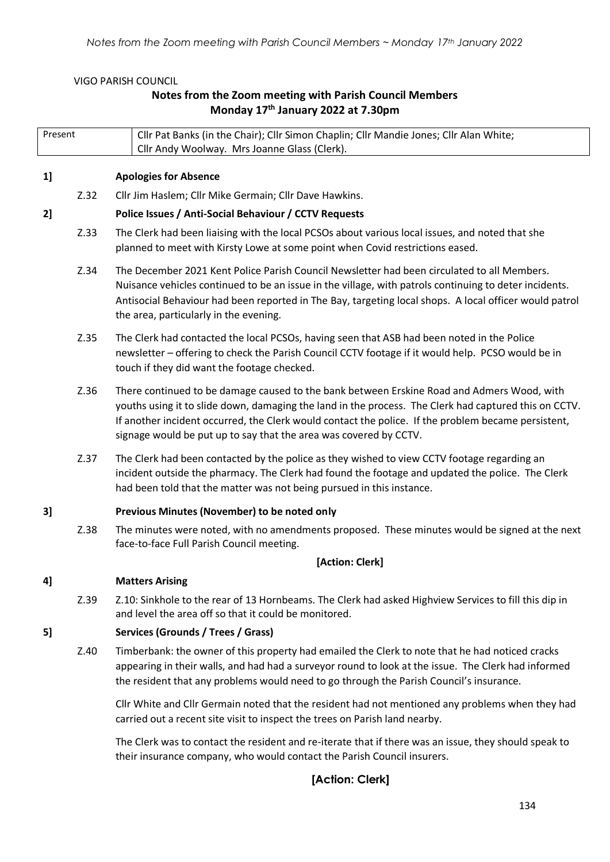#### VIGO PARISH COUNCIL

# **Notes from the Zoom meeting with Parish Council Members Monday 17th January 2022 at 7.30pm**

| Present                                            |      | Cllr Pat Banks (in the Chair); Cllr Simon Chaplin; Cllr Mandie Jones; Cllr Alan White;<br>Cllr Andy Woolway. Mrs Joanne Glass (Clerk).                                                                                                                                                                                                                                          |  |  |  |  |
|----------------------------------------------------|------|---------------------------------------------------------------------------------------------------------------------------------------------------------------------------------------------------------------------------------------------------------------------------------------------------------------------------------------------------------------------------------|--|--|--|--|
|                                                    |      |                                                                                                                                                                                                                                                                                                                                                                                 |  |  |  |  |
| 1]                                                 |      | <b>Apologies for Absence</b>                                                                                                                                                                                                                                                                                                                                                    |  |  |  |  |
|                                                    | Z.32 | Cllr Jim Haslem; Cllr Mike Germain; Cllr Dave Hawkins.                                                                                                                                                                                                                                                                                                                          |  |  |  |  |
| 2                                                  |      | Police Issues / Anti-Social Behaviour / CCTV Requests                                                                                                                                                                                                                                                                                                                           |  |  |  |  |
|                                                    | Z.33 | The Clerk had been liaising with the local PCSOs about various local issues, and noted that she<br>planned to meet with Kirsty Lowe at some point when Covid restrictions eased.                                                                                                                                                                                                |  |  |  |  |
|                                                    | Z.34 | The December 2021 Kent Police Parish Council Newsletter had been circulated to all Members.<br>Nuisance vehicles continued to be an issue in the village, with patrols continuing to deter incidents.<br>Antisocial Behaviour had been reported in The Bay, targeting local shops. A local officer would patrol<br>the area, particularly in the evening.                       |  |  |  |  |
|                                                    | Z.35 | The Clerk had contacted the local PCSOs, having seen that ASB had been noted in the Police<br>newsletter - offering to check the Parish Council CCTV footage if it would help. PCSO would be in<br>touch if they did want the footage checked.                                                                                                                                  |  |  |  |  |
|                                                    | Z.36 | There continued to be damage caused to the bank between Erskine Road and Admers Wood, with<br>youths using it to slide down, damaging the land in the process. The Clerk had captured this on CCTV.<br>If another incident occurred, the Clerk would contact the police. If the problem became persistent,<br>signage would be put up to say that the area was covered by CCTV. |  |  |  |  |
|                                                    | Z.37 | The Clerk had been contacted by the police as they wished to view CCTV footage regarding an<br>incident outside the pharmacy. The Clerk had found the footage and updated the police. The Clerk<br>had been told that the matter was not being pursued in this instance.                                                                                                        |  |  |  |  |
| Previous Minutes (November) to be noted only<br>3] |      |                                                                                                                                                                                                                                                                                                                                                                                 |  |  |  |  |
|                                                    | Z.38 | The minutes were noted, with no amendments proposed. These minutes would be signed at the next<br>face-to-face Full Parish Council meeting.                                                                                                                                                                                                                                     |  |  |  |  |
|                                                    |      | [Action: Clerk]                                                                                                                                                                                                                                                                                                                                                                 |  |  |  |  |
| 4]                                                 |      | <b>Matters Arising</b>                                                                                                                                                                                                                                                                                                                                                          |  |  |  |  |
|                                                    | Z.39 | Z.10: Sinkhole to the rear of 13 Hornbeams. The Clerk had asked Highview Services to fill this dip in<br>and level the area off so that it could be monitored.                                                                                                                                                                                                                  |  |  |  |  |
| 5]                                                 |      | Services (Grounds / Trees / Grass)                                                                                                                                                                                                                                                                                                                                              |  |  |  |  |
|                                                    | Z.40 | Timberbank: the owner of this property had emailed the Clerk to note that he had noticed cracks<br>appearing in their walls, and had had a surveyor round to look at the issue. The Clerk had informed<br>the resident that any problems would need to go through the Parish Council's insurance.                                                                               |  |  |  |  |
|                                                    |      | Cllr White and Cllr Germain noted that the resident had not mentioned any problems when they had<br>carried out a recent site visit to inspect the trees on Parish land nearby.                                                                                                                                                                                                 |  |  |  |  |
|                                                    |      | The Clerk was to contact the resident and re-iterate that if there was an issue, they should speak to<br>their insurance company, who would contact the Parish Council insurers.                                                                                                                                                                                                |  |  |  |  |

# **[Action: Clerk]**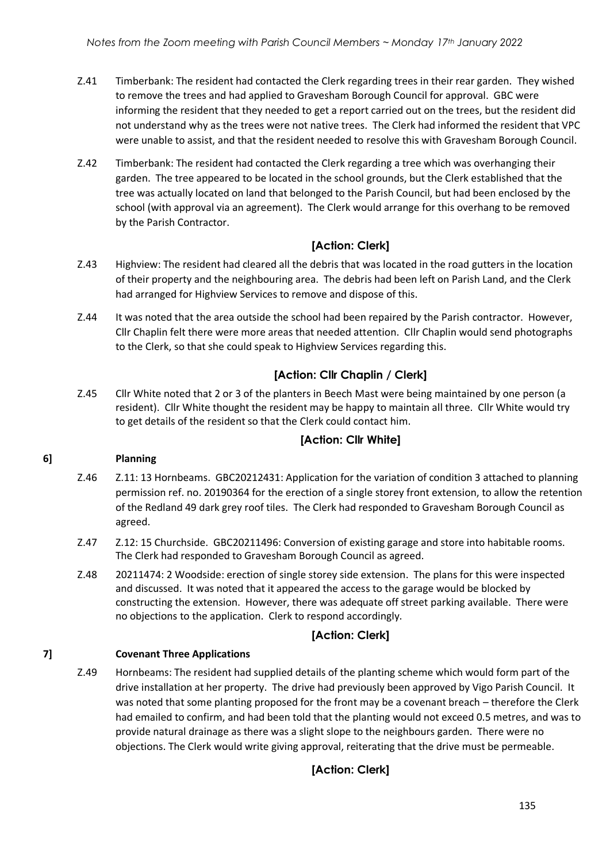- Z.41 Timberbank: The resident had contacted the Clerk regarding trees in their rear garden. They wished to remove the trees and had applied to Gravesham Borough Council for approval. GBC were informing the resident that they needed to get a report carried out on the trees, but the resident did not understand why as the trees were not native trees. The Clerk had informed the resident that VPC were unable to assist, and that the resident needed to resolve this with Gravesham Borough Council.
- Z.42 Timberbank: The resident had contacted the Clerk regarding a tree which was overhanging their garden. The tree appeared to be located in the school grounds, but the Clerk established that the tree was actually located on land that belonged to the Parish Council, but had been enclosed by the school (with approval via an agreement). The Clerk would arrange for this overhang to be removed by the Parish Contractor.

# **[Action: Clerk]**

- Z.43 Highview: The resident had cleared all the debris that was located in the road gutters in the location of their property and the neighbouring area. The debris had been left on Parish Land, and the Clerk had arranged for Highview Services to remove and dispose of this.
- Z.44 It was noted that the area outside the school had been repaired by the Parish contractor. However, Cllr Chaplin felt there were more areas that needed attention. Cllr Chaplin would send photographs to the Clerk, so that she could speak to Highview Services regarding this.

# **[Action: Cllr Chaplin / Clerk]**

Z.45 Cllr White noted that 2 or 3 of the planters in Beech Mast were being maintained by one person (a resident). Cllr White thought the resident may be happy to maintain all three. Cllr White would try to get details of the resident so that the Clerk could contact him.

## **[Action: Cllr White]**

### **6] Planning**

- Z.46 Z.11: 13 Hornbeams. GBC20212431: Application for the variation of condition 3 attached to planning permission ref. no. 20190364 for the erection of a single storey front extension, to allow the retention of the Redland 49 dark grey roof tiles. The Clerk had responded to Gravesham Borough Council as agreed.
- Z.47 Z.12: 15 Churchside. GBC20211496: Conversion of existing garage and store into habitable rooms. The Clerk had responded to Gravesham Borough Council as agreed.
- Z.48 20211474: 2 Woodside: erection of single storey side extension. The plans for this were inspected and discussed. It was noted that it appeared the access to the garage would be blocked by constructing the extension. However, there was adequate off street parking available. There were no objections to the application. Clerk to respond accordingly.

## **[Action: Clerk]**

### **7] Covenant Three Applications**

Z.49 Hornbeams: The resident had supplied details of the planting scheme which would form part of the drive installation at her property. The drive had previously been approved by Vigo Parish Council. It was noted that some planting proposed for the front may be a covenant breach – therefore the Clerk had emailed to confirm, and had been told that the planting would not exceed 0.5 metres, and was to provide natural drainage as there was a slight slope to the neighbours garden. There were no objections. The Clerk would write giving approval, reiterating that the drive must be permeable.

# **[Action: Clerk]**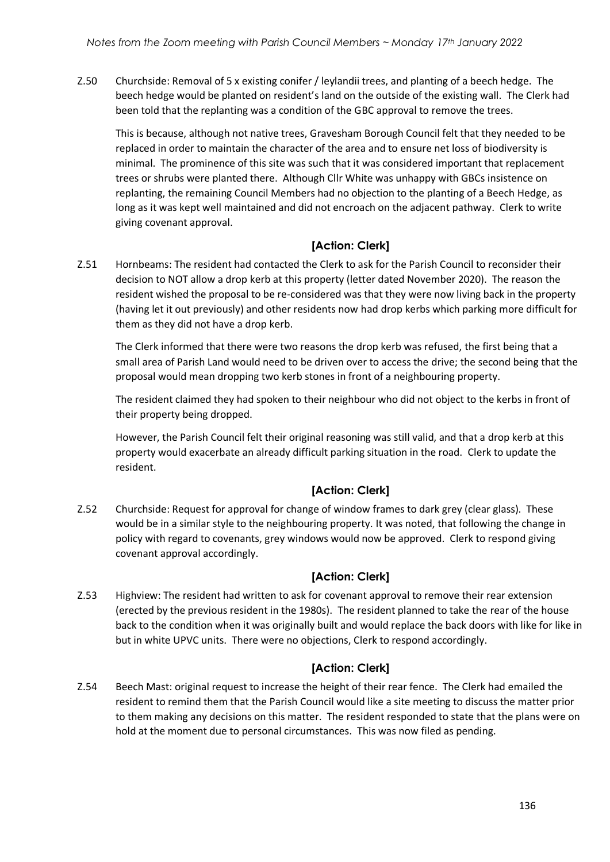Z.50 Churchside: Removal of 5 x existing conifer / leylandii trees, and planting of a beech hedge. The beech hedge would be planted on resident's land on the outside of the existing wall. The Clerk had been told that the replanting was a condition of the GBC approval to remove the trees.

This is because, although not native trees, Gravesham Borough Council felt that they needed to be replaced in order to maintain the character of the area and to ensure net loss of biodiversity is minimal. The prominence of this site was such that it was considered important that replacement trees or shrubs were planted there. Although Cllr White was unhappy with GBCs insistence on replanting, the remaining Council Members had no objection to the planting of a Beech Hedge, as long as it was kept well maintained and did not encroach on the adjacent pathway. Clerk to write giving covenant approval.

# **[Action: Clerk]**

Z.51 Hornbeams: The resident had contacted the Clerk to ask for the Parish Council to reconsider their decision to NOT allow a drop kerb at this property (letter dated November 2020). The reason the resident wished the proposal to be re-considered was that they were now living back in the property (having let it out previously) and other residents now had drop kerbs which parking more difficult for them as they did not have a drop kerb.

The Clerk informed that there were two reasons the drop kerb was refused, the first being that a small area of Parish Land would need to be driven over to access the drive; the second being that the proposal would mean dropping two kerb stones in front of a neighbouring property.

The resident claimed they had spoken to their neighbour who did not object to the kerbs in front of their property being dropped.

However, the Parish Council felt their original reasoning was still valid, and that a drop kerb at this property would exacerbate an already difficult parking situation in the road. Clerk to update the resident.

# **[Action: Clerk]**

Z.52 Churchside: Request for approval for change of window frames to dark grey (clear glass). These would be in a similar style to the neighbouring property. It was noted, that following the change in policy with regard to covenants, grey windows would now be approved. Clerk to respond giving covenant approval accordingly.

## **[Action: Clerk]**

Z.53 Highview: The resident had written to ask for covenant approval to remove their rear extension (erected by the previous resident in the 1980s). The resident planned to take the rear of the house back to the condition when it was originally built and would replace the back doors with like for like in but in white UPVC units. There were no objections, Clerk to respond accordingly.

# **[Action: Clerk]**

Z.54 Beech Mast: original request to increase the height of their rear fence. The Clerk had emailed the resident to remind them that the Parish Council would like a site meeting to discuss the matter prior to them making any decisions on this matter. The resident responded to state that the plans were on hold at the moment due to personal circumstances. This was now filed as pending.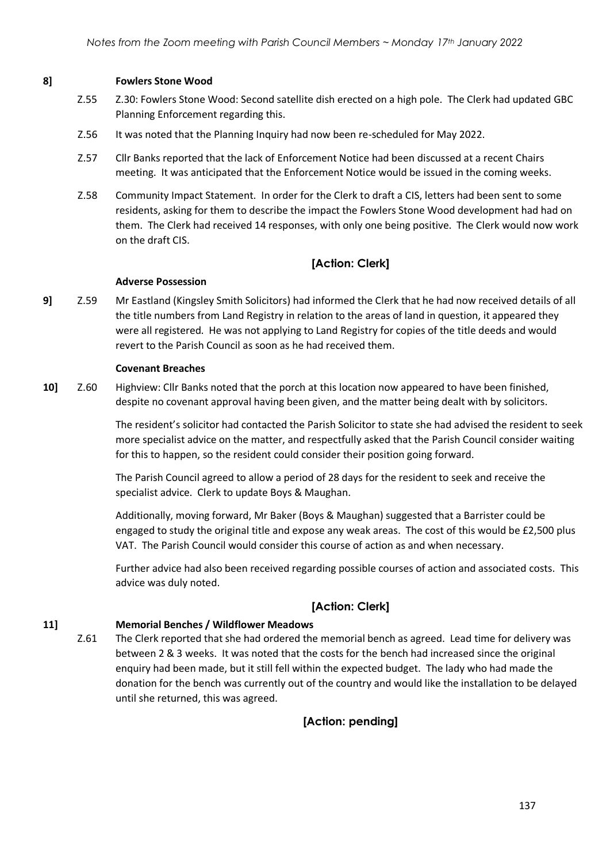#### **8] Fowlers Stone Wood**

- Z.55 Z.30: Fowlers Stone Wood: Second satellite dish erected on a high pole. The Clerk had updated GBC Planning Enforcement regarding this.
- Z.56 It was noted that the Planning Inquiry had now been re-scheduled for May 2022.
- Z.57 Cllr Banks reported that the lack of Enforcement Notice had been discussed at a recent Chairs meeting. It was anticipated that the Enforcement Notice would be issued in the coming weeks.
- Z.58 Community Impact Statement. In order for the Clerk to draft a CIS, letters had been sent to some residents, asking for them to describe the impact the Fowlers Stone Wood development had had on them. The Clerk had received 14 responses, with only one being positive. The Clerk would now work on the draft CIS.

## **[Action: Clerk]**

#### **Adverse Possession**

**9]** Z.59 Mr Eastland (Kingsley Smith Solicitors) had informed the Clerk that he had now received details of all the title numbers from Land Registry in relation to the areas of land in question, it appeared they were all registered. He was not applying to Land Registry for copies of the title deeds and would revert to the Parish Council as soon as he had received them.

#### **Covenant Breaches**

**10]** Z.60 Highview: Cllr Banks noted that the porch at this location now appeared to have been finished, despite no covenant approval having been given, and the matter being dealt with by solicitors.

> The resident's solicitor had contacted the Parish Solicitor to state she had advised the resident to seek more specialist advice on the matter, and respectfully asked that the Parish Council consider waiting for this to happen, so the resident could consider their position going forward.

The Parish Council agreed to allow a period of 28 days for the resident to seek and receive the specialist advice. Clerk to update Boys & Maughan.

Additionally, moving forward, Mr Baker (Boys & Maughan) suggested that a Barrister could be engaged to study the original title and expose any weak areas. The cost of this would be £2,500 plus VAT. The Parish Council would consider this course of action as and when necessary.

Further advice had also been received regarding possible courses of action and associated costs. This advice was duly noted.

## **[Action: Clerk]**

### **11] Memorial Benches / Wildflower Meadows**

Z.61 The Clerk reported that she had ordered the memorial bench as agreed. Lead time for delivery was between 2 & 3 weeks. It was noted that the costs for the bench had increased since the original enquiry had been made, but it still fell within the expected budget. The lady who had made the donation for the bench was currently out of the country and would like the installation to be delayed until she returned, this was agreed.

## **[Action: pending]**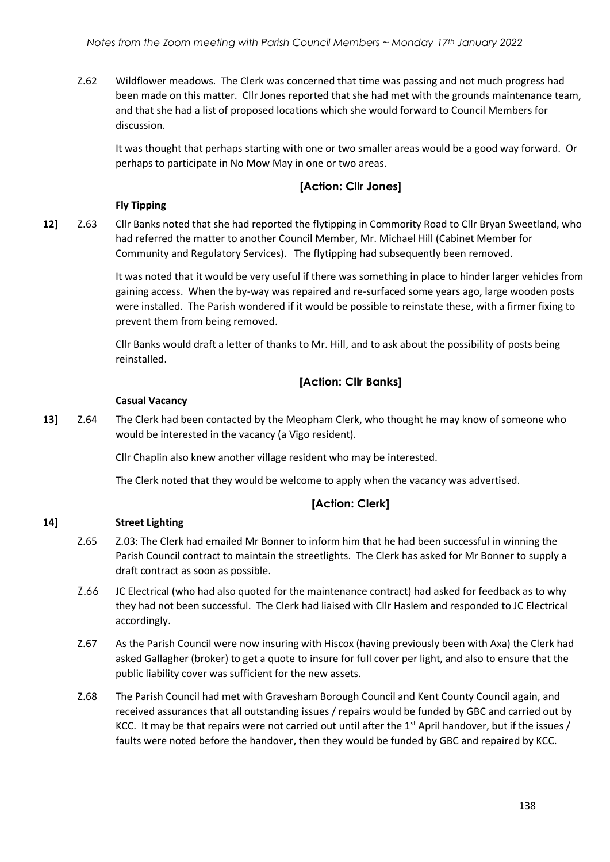Z.62 Wildflower meadows. The Clerk was concerned that time was passing and not much progress had been made on this matter. Cllr Jones reported that she had met with the grounds maintenance team, and that she had a list of proposed locations which she would forward to Council Members for discussion.

It was thought that perhaps starting with one or two smaller areas would be a good way forward. Or perhaps to participate in No Mow May in one or two areas.

## **[Action: Cllr Jones]**

### **Fly Tipping**

**12]** Z.63 Cllr Banks noted that she had reported the flytipping in Commority Road to Cllr Bryan Sweetland, who had referred the matter to another Council Member, Mr. Michael Hill (Cabinet Member for Community and Regulatory Services). The flytipping had subsequently been removed.

> It was noted that it would be very useful if there was something in place to hinder larger vehicles from gaining access. When the by-way was repaired and re-surfaced some years ago, large wooden posts were installed. The Parish wondered if it would be possible to reinstate these, with a firmer fixing to prevent them from being removed.

Cllr Banks would draft a letter of thanks to Mr. Hill, and to ask about the possibility of posts being reinstalled.

## **[Action: Cllr Banks]**

### **Casual Vacancy**

**13]** Z.64 The Clerk had been contacted by the Meopham Clerk, who thought he may know of someone who would be interested in the vacancy (a Vigo resident).

Cllr Chaplin also knew another village resident who may be interested.

The Clerk noted that they would be welcome to apply when the vacancy was advertised.

### **[Action: Clerk]**

### **14] Street Lighting**

- Z.65 Z.03: The Clerk had emailed Mr Bonner to inform him that he had been successful in winning the Parish Council contract to maintain the streetlights. The Clerk has asked for Mr Bonner to supply a draft contract as soon as possible.
- Z.66 JC Electrical (who had also quoted for the maintenance contract) had asked for feedback as to why they had not been successful. The Clerk had liaised with Cllr Haslem and responded to JC Electrical accordingly.
- Z.67 As the Parish Council were now insuring with Hiscox (having previously been with Axa) the Clerk had asked Gallagher (broker) to get a quote to insure for full cover per light, and also to ensure that the public liability cover was sufficient for the new assets.
- Z.68 The Parish Council had met with Gravesham Borough Council and Kent County Council again, and received assurances that all outstanding issues / repairs would be funded by GBC and carried out by KCC. It may be that repairs were not carried out until after the  $1<sup>st</sup>$  April handover, but if the issues / faults were noted before the handover, then they would be funded by GBC and repaired by KCC.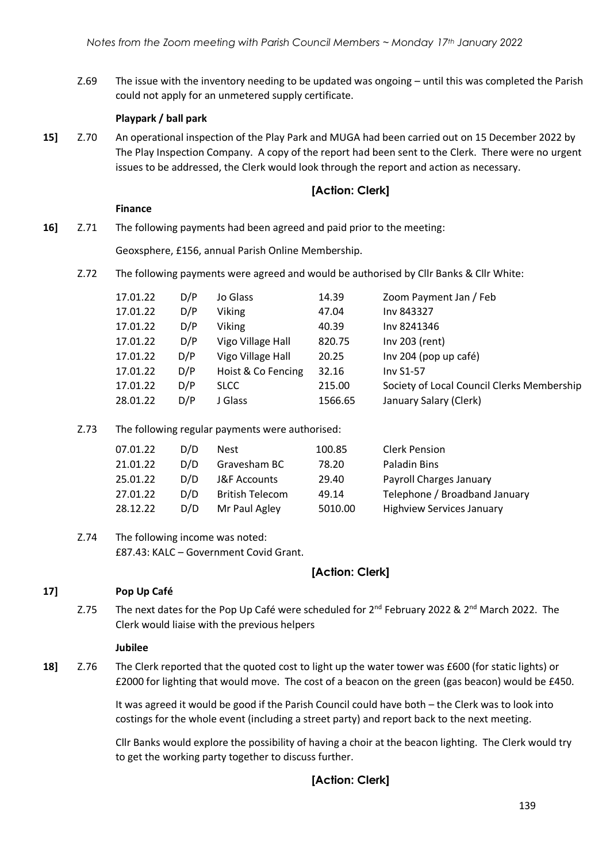Z.69 The issue with the inventory needing to be updated was ongoing – until this was completed the Parish could not apply for an unmetered supply certificate.

### **Playpark / ball park**

**15]** Z.70 An operational inspection of the Play Park and MUGA had been carried out on 15 December 2022 by The Play Inspection Company. A copy of the report had been sent to the Clerk. There were no urgent issues to be addressed, the Clerk would look through the report and action as necessary.

## **[Action: Clerk]**

#### **Finance**

**16]** Z.71 The following payments had been agreed and paid prior to the meeting:

Geoxsphere, £156, annual Parish Online Membership.

Z.72 The following payments were agreed and would be authorised by Cllr Banks & Cllr White:

| 17.01.22 | D/P | Jo Glass           | 14.39   | Zoom Payment Jan / Feb                     |
|----------|-----|--------------------|---------|--------------------------------------------|
| 17.01.22 | D/P | <b>Viking</b>      | 47.04   | Inv 843327                                 |
| 17.01.22 | D/P | <b>Viking</b>      | 40.39   | Inv 8241346                                |
| 17.01.22 | D/P | Vigo Village Hall  | 820.75  | Inv 203 (rent)                             |
| 17.01.22 | D/P | Vigo Village Hall  | 20.25   | Inv 204 (pop up café)                      |
| 17.01.22 | D/P | Hoist & Co Fencing | 32.16   | <b>Inv S1-57</b>                           |
| 17.01.22 | D/P | <b>SLCC</b>        | 215.00  | Society of Local Council Clerks Membership |
| 28.01.22 | D/P | I Glass            | 1566.65 | January Salary (Clerk)                     |

Z.73 The following regular payments were authorised:

| 07.01.22 | D/D | <b>Nest</b>             | 100.85  | <b>Clerk Pension</b>             |
|----------|-----|-------------------------|---------|----------------------------------|
| 21.01.22 | D/D | Gravesham BC            | 78.20   | Paladin Bins                     |
| 25.01.22 | D/D | <b>J&amp;F Accounts</b> | 29.40   | Payroll Charges January          |
| 27.01.22 | D/D | <b>British Telecom</b>  | 49.14   | Telephone / Broadband January    |
| 28.12.22 | D/D | Mr Paul Agley           | 5010.00 | <b>Highview Services January</b> |

Z.74 The following income was noted: £87.43: KALC – Government Covid Grant.

## **[Action: Clerk]**

#### **17] Pop Up Café**

Z.75 The next dates for the Pop Up Café were scheduled for  $2^{nd}$  February 2022 &  $2^{nd}$  March 2022. The Clerk would liaise with the previous helpers

#### **Jubilee**

**18]** Z.76 The Clerk reported that the quoted cost to light up the water tower was £600 (for static lights) or £2000 for lighting that would move. The cost of a beacon on the green (gas beacon) would be £450.

> It was agreed it would be good if the Parish Council could have both – the Clerk was to look into costings for the whole event (including a street party) and report back to the next meeting.

Cllr Banks would explore the possibility of having a choir at the beacon lighting. The Clerk would try to get the working party together to discuss further.

## **[Action: Clerk]**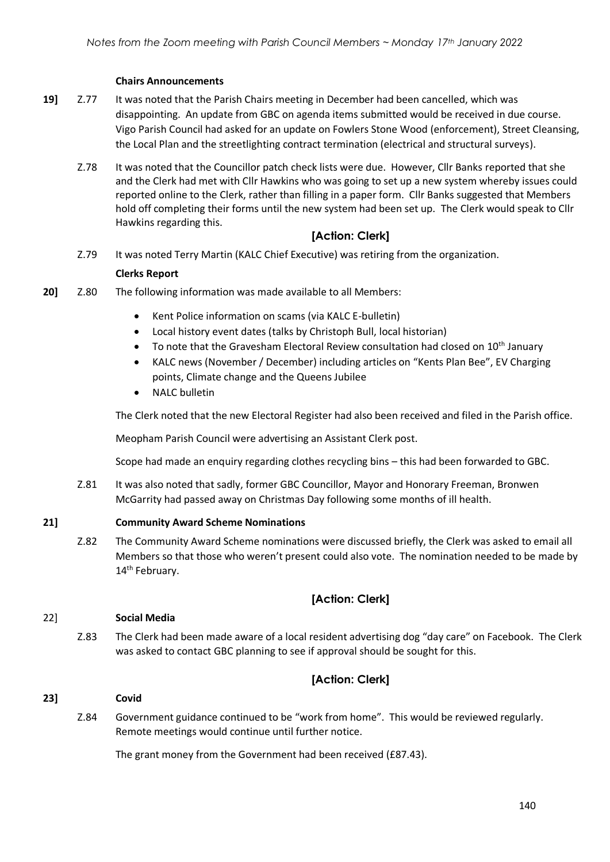### **Chairs Announcements**

- **19]** Z.77 It was noted that the Parish Chairs meeting in December had been cancelled, which was disappointing. An update from GBC on agenda items submitted would be received in due course. Vigo Parish Council had asked for an update on Fowlers Stone Wood (enforcement), Street Cleansing, the Local Plan and the streetlighting contract termination (electrical and structural surveys).
	- Z.78 It was noted that the Councillor patch check lists were due. However, Cllr Banks reported that she and the Clerk had met with Cllr Hawkins who was going to set up a new system whereby issues could reported online to the Clerk, rather than filling in a paper form. Cllr Banks suggested that Members hold off completing their forms until the new system had been set up. The Clerk would speak to Cllr Hawkins regarding this.

## **[Action: Clerk]**

Z.79 It was noted Terry Martin (KALC Chief Executive) was retiring from the organization.

#### **Clerks Report**

- **20]** Z.80 The following information was made available to all Members:
	- Kent Police information on scams (via KALC E-bulletin)
	- Local history event dates (talks by Christoph Bull, local historian)
	- To note that the Gravesham Electoral Review consultation had closed on  $10^{th}$  January
	- KALC news (November / December) including articles on "Kents Plan Bee", EV Charging points, Climate change and the Queens Jubilee
	- NALC bulletin

The Clerk noted that the new Electoral Register had also been received and filed in the Parish office.

Meopham Parish Council were advertising an Assistant Clerk post.

Scope had made an enquiry regarding clothes recycling bins – this had been forwarded to GBC.

Z.81 It was also noted that sadly, former GBC Councillor, Mayor and Honorary Freeman, Bronwen McGarrity had passed away on Christmas Day following some months of ill health.

#### **21] Community Award Scheme Nominations**

Z.82 The Community Award Scheme nominations were discussed briefly, the Clerk was asked to email all Members so that those who weren't present could also vote. The nomination needed to be made by 14<sup>th</sup> February.

## **[Action: Clerk]**

#### 22] **Social Media**

Z.83 The Clerk had been made aware of a local resident advertising dog "day care" on Facebook. The Clerk was asked to contact GBC planning to see if approval should be sought for this.

## **[Action: Clerk]**

#### **23] Covid**

Z.84 Government guidance continued to be "work from home". This would be reviewed regularly. Remote meetings would continue until further notice.

The grant money from the Government had been received (£87.43).